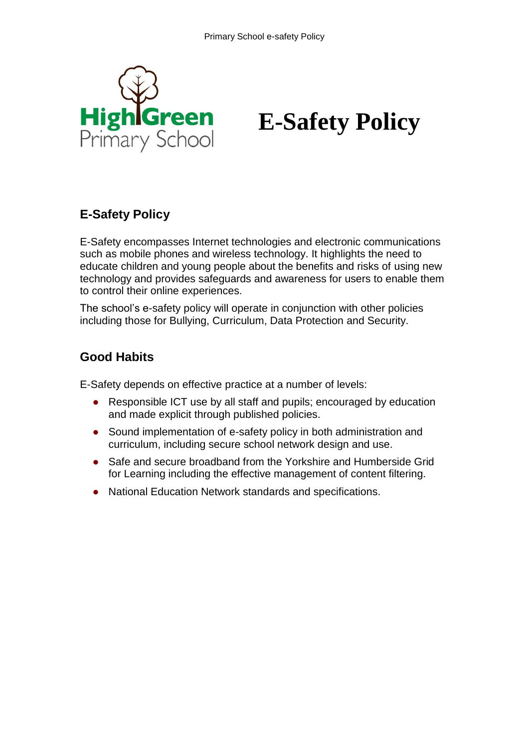

# **E-Safety Policy**

#### **E-Safety Policy**

E-Safety encompasses Internet technologies and electronic communications such as mobile phones and wireless technology. It highlights the need to educate children and young people about the benefits and risks of using new technology and provides safeguards and awareness for users to enable them to control their online experiences.

The school's e-safety policy will operate in conjunction with other policies including those for Bullying, Curriculum, Data Protection and Security.

#### **Good Habits**

E-Safety depends on effective practice at a number of levels:

- Responsible ICT use by all staff and pupils; encouraged by education and made explicit through published policies.
- Sound implementation of e-safety policy in both administration and curriculum, including secure school network design and use.
- Safe and secure broadband from the Yorkshire and Humberside Grid for Learning including the effective management of content filtering.
- National Education Network standards and specifications.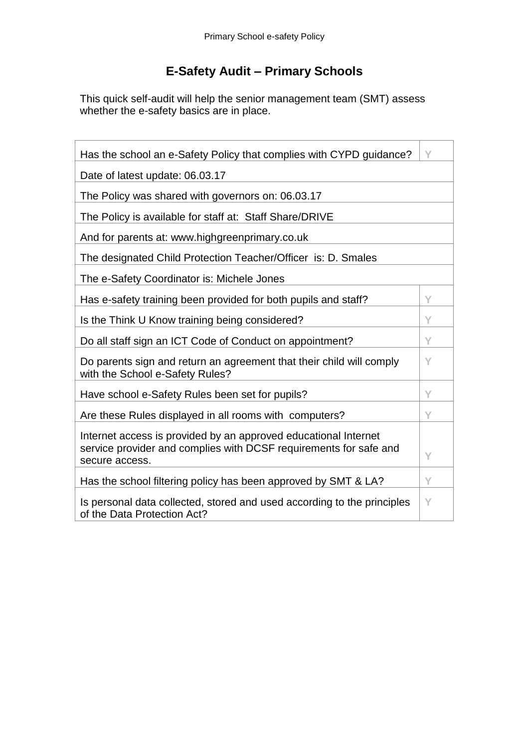## **E-Safety Audit – Primary Schools**

This quick self-audit will help the senior management team (SMT) assess whether the e-safety basics are in place.

| Has the school an e-Safety Policy that complies with CYPD guidance?                                                                                    | Υ |  |  |  |  |
|--------------------------------------------------------------------------------------------------------------------------------------------------------|---|--|--|--|--|
| Date of latest update: 06.03.17                                                                                                                        |   |  |  |  |  |
| The Policy was shared with governors on: 06.03.17                                                                                                      |   |  |  |  |  |
| The Policy is available for staff at: Staff Share/DRIVE                                                                                                |   |  |  |  |  |
| And for parents at: www.highgreenprimary.co.uk                                                                                                         |   |  |  |  |  |
| The designated Child Protection Teacher/Officer is: D. Smales                                                                                          |   |  |  |  |  |
| The e-Safety Coordinator is: Michele Jones                                                                                                             |   |  |  |  |  |
| Has e-safety training been provided for both pupils and staff?                                                                                         | Y |  |  |  |  |
| Is the Think U Know training being considered?                                                                                                         | Y |  |  |  |  |
| Do all staff sign an ICT Code of Conduct on appointment?                                                                                               | Y |  |  |  |  |
| Do parents sign and return an agreement that their child will comply<br>with the School e-Safety Rules?                                                | Υ |  |  |  |  |
| Have school e-Safety Rules been set for pupils?                                                                                                        | Ÿ |  |  |  |  |
| Are these Rules displayed in all rooms with computers?                                                                                                 | Y |  |  |  |  |
| Internet access is provided by an approved educational Internet<br>service provider and complies with DCSF requirements for safe and<br>secure access. | Y |  |  |  |  |
| Has the school filtering policy has been approved by SMT & LA?                                                                                         | Υ |  |  |  |  |
| Is personal data collected, stored and used according to the principles<br>of the Data Protection Act?                                                 | Y |  |  |  |  |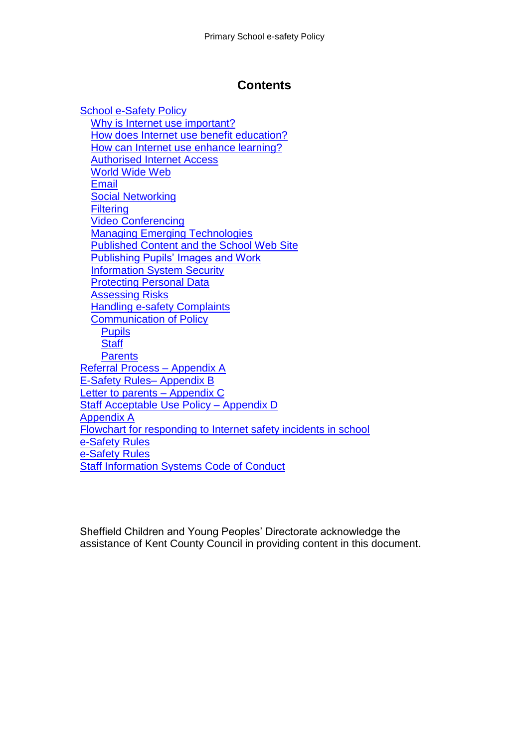#### **Contents**

[School e-Safety Policy](#page-3-0) [Why is Internet use important?](#page-3-1) [How does Internet use benefit education?](#page-3-2) [How can Internet use enhance learning?](#page-4-0) [Authorised Internet Access](#page-4-1) [World Wide Web](#page-4-2) [Email](#page-4-3) [Social Networking](#page-5-0) **[Filtering](#page-5-1)** [Video Conferencing](#page-5-2) [Managing Emerging Technologies](#page-5-3) [Published Content and the School Web Site](#page-6-0) [Publishing Pupils' Images and Work](#page-6-1) [Information System Security](#page-6-2) [Protecting Personal Data](#page-6-3) [Assessing Risks](#page-6-4) [Handling e-safety Complaints](#page-7-0) [Communication of Policy](#page-7-1) **[Pupils](#page-7-2) [Staff](#page-7-3) [Parents](#page-7-4)** [Referral Process –](#page-8-0) Appendix [A](#page-8-0) [E-Safety Rules–](#page-8-1) Appendix [B](#page-8-1) Letter to parents - Appendix [C](#page-8-2) [Staff Acceptable Use Policy –](#page-8-3) Appendix [D](#page-8-3) [Appendix A](#page-9-0) [Flowchart for responding to Internet safety incidents in school](#page-9-1) [e-Safety Rules](#page-11-0) [e-Safety Rules](#page-12-0) [Staff Information Systems Code of Conduct](#page-13-0)

Sheffield Children and Young Peoples' Directorate acknowledge the assistance of Kent County Council in providing content in this document.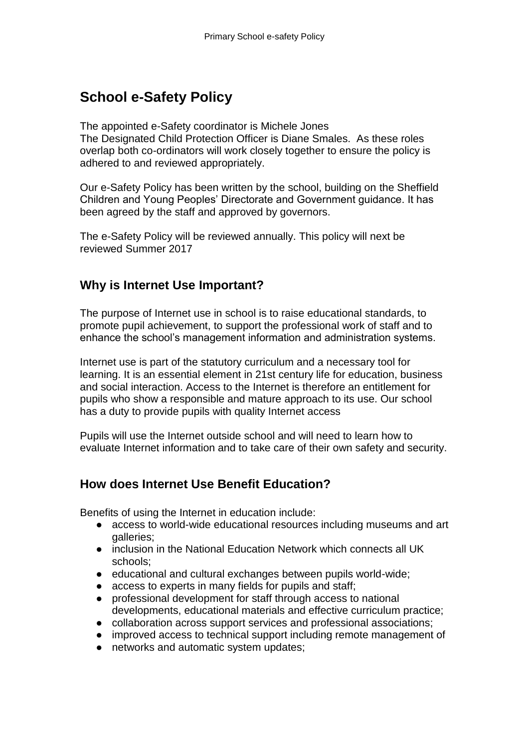## <span id="page-3-0"></span>**School e-Safety Policy**

The appointed e-Safety coordinator is Michele Jones The Designated Child Protection Officer is Diane Smales. As these roles overlap both co-ordinators will work closely together to ensure the policy is adhered to and reviewed appropriately.

Our e-Safety Policy has been written by the school, building on the Sheffield Children and Young Peoples' Directorate and Government guidance. It has been agreed by the staff and approved by governors.

The e-Safety Policy will be reviewed annually. This policy will next be reviewed Summer 2017

#### <span id="page-3-1"></span>**Why is Internet Use Important?**

The purpose of Internet use in school is to raise educational standards, to promote pupil achievement, to support the professional work of staff and to enhance the school's management information and administration systems.

Internet use is part of the statutory curriculum and a necessary tool for learning. It is an essential element in 21st century life for education, business and social interaction. Access to the Internet is therefore an entitlement for pupils who show a responsible and mature approach to its use. Our school has a duty to provide pupils with quality Internet access

Pupils will use the Internet outside school and will need to learn how to evaluate Internet information and to take care of their own safety and security.

#### <span id="page-3-2"></span>**How does Internet Use Benefit Education?**

Benefits of using the Internet in education include:

- access to world-wide educational resources including museums and art galleries;
- inclusion in the National Education Network which connects all UK schools;
- educational and cultural exchanges between pupils world-wide;
- access to experts in many fields for pupils and staff;
- professional development for staff through access to national developments, educational materials and effective curriculum practice;
- collaboration across support services and professional associations;
- improved access to technical support including remote management of
- networks and automatic system updates: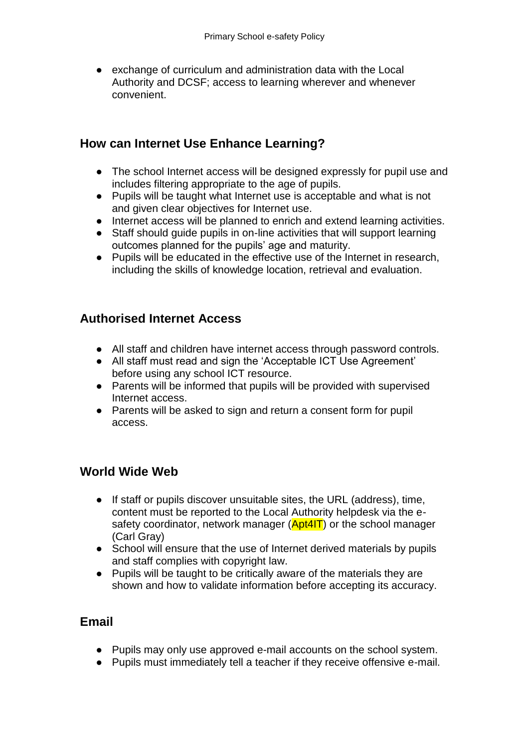● exchange of curriculum and administration data with the Local Authority and DCSF; access to learning wherever and whenever convenient.

#### <span id="page-4-0"></span>**How can Internet Use Enhance Learning?**

- The school Internet access will be designed expressly for pupil use and includes filtering appropriate to the age of pupils.
- Pupils will be taught what Internet use is acceptable and what is not and given clear objectives for Internet use.
- Internet access will be planned to enrich and extend learning activities.
- Staff should guide pupils in on-line activities that will support learning outcomes planned for the pupils' age and maturity.
- Pupils will be educated in the effective use of the Internet in research, including the skills of knowledge location, retrieval and evaluation.

#### <span id="page-4-1"></span>**Authorised Internet Access**

- All staff and children have internet access through password controls.
- All staff must read and sign the 'Acceptable ICT Use Agreement' before using any school ICT resource.
- Parents will be informed that pupils will be provided with supervised Internet access.
- Parents will be asked to sign and return a consent form for pupil access.

#### <span id="page-4-2"></span>**World Wide Web**

- If staff or pupils discover unsuitable sites, the URL (address), time, content must be reported to the Local Authority helpdesk via the esafety coordinator, network manager (Apt4IT) or the school manager (Carl Gray)
- School will ensure that the use of Internet derived materials by pupils and staff complies with copyright law.
- Pupils will be taught to be critically aware of the materials they are shown and how to validate information before accepting its accuracy.

#### <span id="page-4-3"></span>**Email**

- Pupils may only use approved e-mail accounts on the school system.
- Pupils must immediately tell a teacher if they receive offensive e-mail.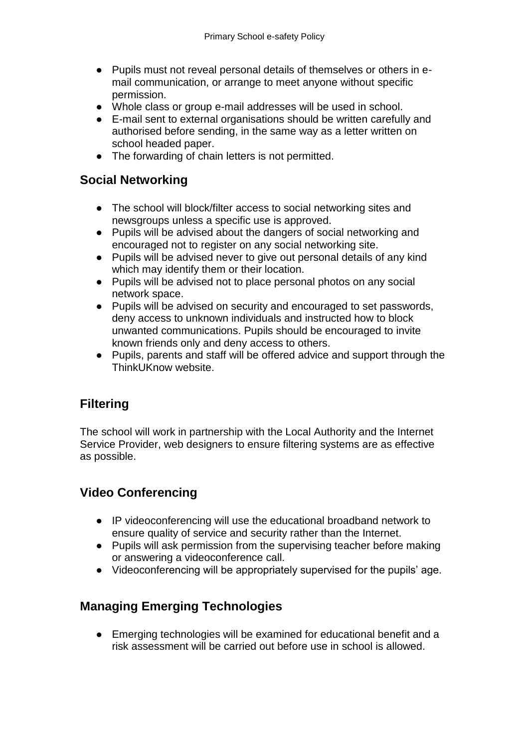- Pupils must not reveal personal details of themselves or others in email communication, or arrange to meet anyone without specific permission.
- Whole class or group e-mail addresses will be used in school.
- E-mail sent to external organisations should be written carefully and authorised before sending, in the same way as a letter written on school headed paper.
- The forwarding of chain letters is not permitted.

#### <span id="page-5-0"></span>**Social Networking**

- The school will block/filter access to social networking sites and newsgroups unless a specific use is approved.
- Pupils will be advised about the dangers of social networking and encouraged not to register on any social networking site.
- Pupils will be advised never to give out personal details of any kind which may identify them or their location.
- Pupils will be advised not to place personal photos on any social network space.
- Pupils will be advised on security and encouraged to set passwords, deny access to unknown individuals and instructed how to block unwanted communications. Pupils should be encouraged to invite known friends only and deny access to others.
- Pupils, parents and staff will be offered advice and support through the ThinkUKnow website

#### <span id="page-5-1"></span>**Filtering**

The school will work in partnership with the Local Authority and the Internet Service Provider, web designers to ensure filtering systems are as effective as possible.

#### <span id="page-5-2"></span>**Video Conferencing**

- IP videoconferencing will use the educational broadband network to ensure quality of service and security rather than the Internet.
- Pupils will ask permission from the supervising teacher before making or answering a videoconference call.
- Videoconferencing will be appropriately supervised for the pupils' age.

#### <span id="page-5-3"></span>**Managing Emerging Technologies**

● Emerging technologies will be examined for educational benefit and a risk assessment will be carried out before use in school is allowed.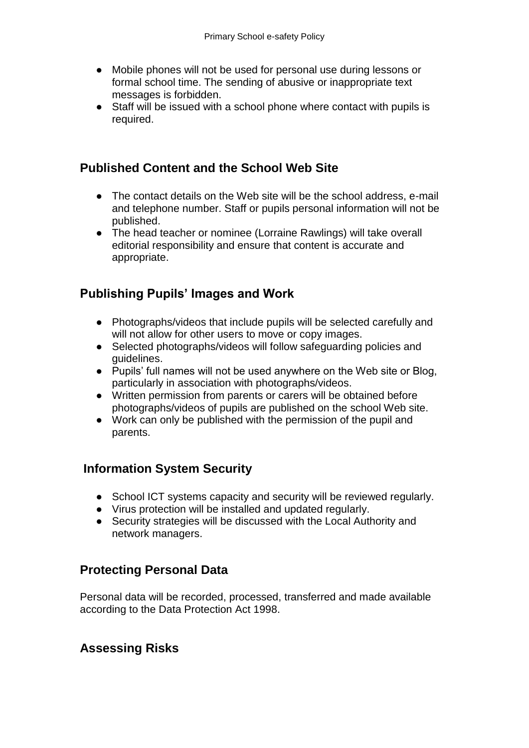- Mobile phones will not be used for personal use during lessons or formal school time. The sending of abusive or inappropriate text messages is forbidden.
- Staff will be issued with a school phone where contact with pupils is required.

#### <span id="page-6-0"></span>**Published Content and the School Web Site**

- The contact details on the Web site will be the school address, e-mail and telephone number. Staff or pupils personal information will not be published.
- The head teacher or nominee (Lorraine Rawlings) will take overall editorial responsibility and ensure that content is accurate and appropriate.

#### <span id="page-6-1"></span>**Publishing Pupils' Images and Work**

- Photographs/videos that include pupils will be selected carefully and will not allow for other users to move or copy images.
- Selected photographs/videos will follow safeguarding policies and guidelines.
- Pupils' full names will not be used anywhere on the Web site or Blog, particularly in association with photographs/videos.
- Written permission from parents or carers will be obtained before photographs/videos of pupils are published on the school Web site.
- Work can only be published with the permission of the pupil and parents.

#### <span id="page-6-2"></span>**Information System Security**

- School ICT systems capacity and security will be reviewed regularly.
- Virus protection will be installed and updated regularly.
- Security strategies will be discussed with the Local Authority and network managers.

#### <span id="page-6-3"></span>**Protecting Personal Data**

Personal data will be recorded, processed, transferred and made available according to the Data Protection Act 1998.

#### <span id="page-6-4"></span>**Assessing Risks**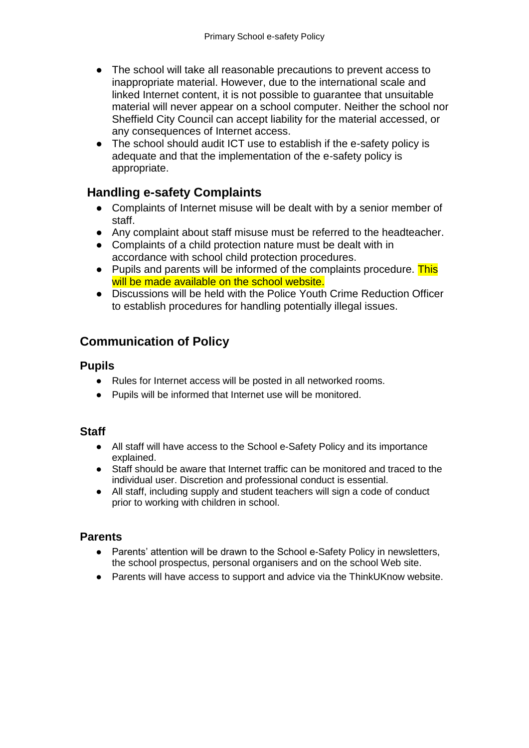- The school will take all reasonable precautions to prevent access to inappropriate material. However, due to the international scale and linked Internet content, it is not possible to guarantee that unsuitable material will never appear on a school computer. Neither the school nor Sheffield City Council can accept liability for the material accessed, or any consequences of Internet access.
- The school should audit ICT use to establish if the e-safety policy is adequate and that the implementation of the e-safety policy is appropriate.

#### <span id="page-7-0"></span> **Handling e-safety Complaints**

- Complaints of Internet misuse will be dealt with by a senior member of staff.
- Any complaint about staff misuse must be referred to the headteacher.
- Complaints of a child protection nature must be dealt with in accordance with school child protection procedures.
- Pupils and parents will be informed of the complaints procedure. This will be made available on the school website.
- Discussions will be held with the Police Youth Crime Reduction Officer to establish procedures for handling potentially illegal issues.

#### <span id="page-7-1"></span>**Communication of Policy**

#### <span id="page-7-2"></span>**Pupils**

- Rules for Internet access will be posted in all networked rooms.
- Pupils will be informed that Internet use will be monitored.

#### <span id="page-7-3"></span>**Staff**

- All staff will have access to the School e-Safety Policy and its importance explained.
- Staff should be aware that Internet traffic can be monitored and traced to the individual user. Discretion and professional conduct is essential.
- All staff, including supply and student teachers will sign a code of conduct prior to working with children in school.

#### <span id="page-7-4"></span>**Parents**

- Parents' attention will be drawn to the School e-Safety Policy in newsletters, the school prospectus, personal organisers and on the school Web site.
- Parents will have access to support and advice via the ThinkUKnow website.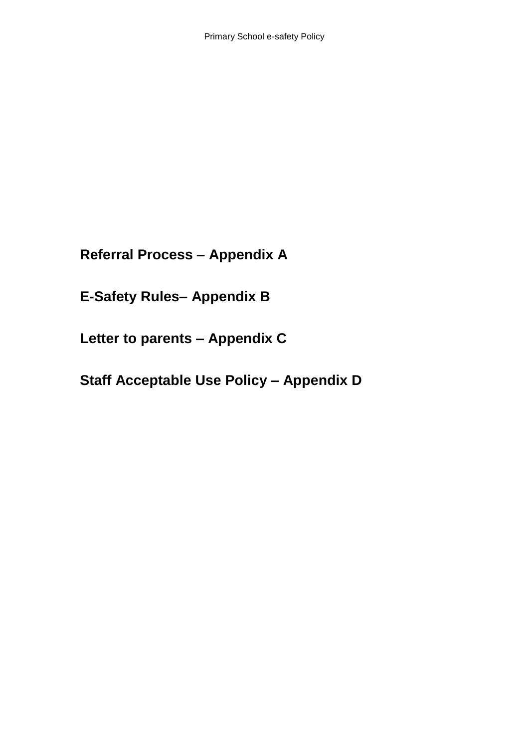<span id="page-8-0"></span>**Referral Process – Appendix A**

<span id="page-8-1"></span>**E-Safety Rules– Appendix B**

<span id="page-8-2"></span>**Letter to parents – Appendix C**

<span id="page-8-3"></span>**Staff Acceptable Use Policy – Appendix D**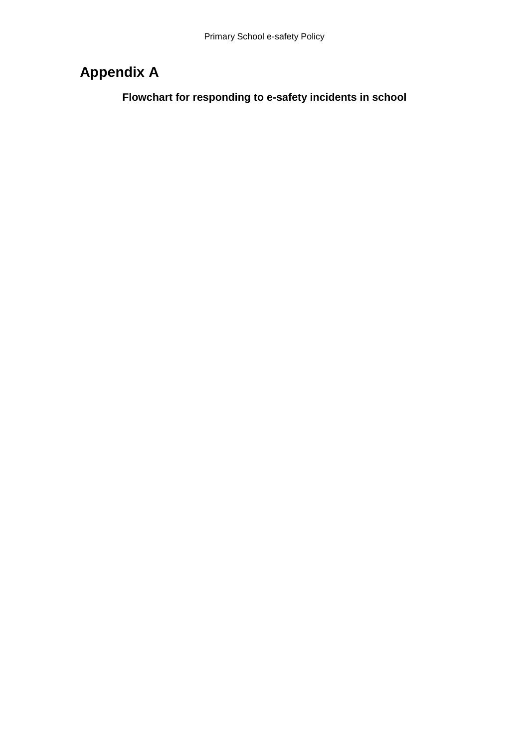## <span id="page-9-1"></span><span id="page-9-0"></span>**Appendix A**

**Flowchart for responding to e-safety incidents in school**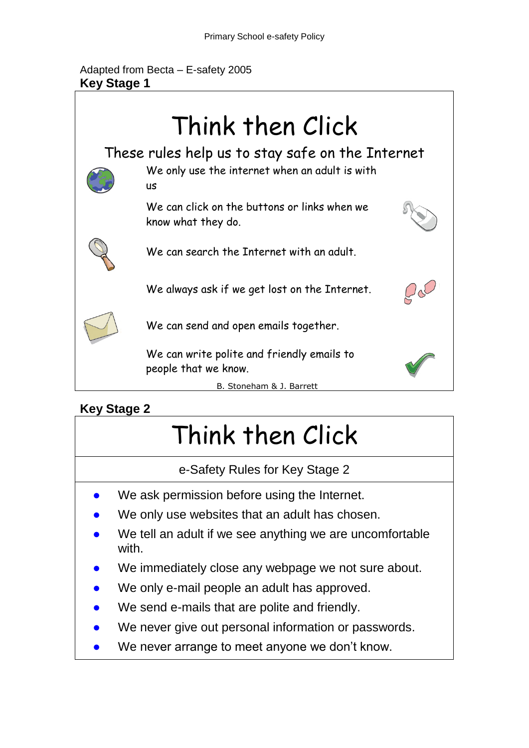Adapted from Becta – E-safety 2005 **Key Stage 1**



## **Key Stage 2**

# Think then Click

e-Safety Rules for Key Stage 2

- We ask permission before using the Internet.
- We only use websites that an adult has chosen.
- We tell an adult if we see anything we are uncomfortable with.
- We immediately close any webpage we not sure about.
- We only e-mail people an adult has approved.
- We send e-mails that are polite and friendly.
- We never give out personal information or passwords.
- We never arrange to meet anyone we don't know.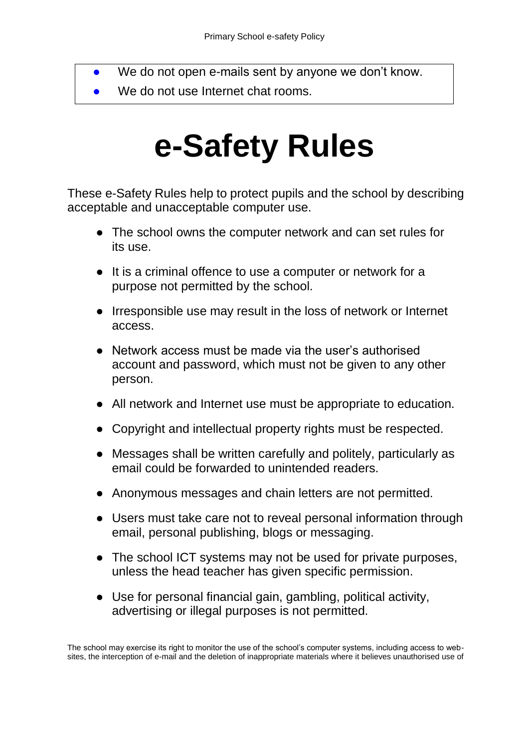- We do not open e-mails sent by anyone we don't know.
- <span id="page-11-0"></span>We do not use Internet chat rooms.

# **e-Safety Rules**

These e-Safety Rules help to protect pupils and the school by describing acceptable and unacceptable computer use.

- The school owns the computer network and can set rules for its use.
- It is a criminal offence to use a computer or network for a purpose not permitted by the school.
- Irresponsible use may result in the loss of network or Internet access.
- Network access must be made via the user's authorised account and password, which must not be given to any other person.
- All network and Internet use must be appropriate to education.
- Copyright and intellectual property rights must be respected.
- Messages shall be written carefully and politely, particularly as email could be forwarded to unintended readers.
- Anonymous messages and chain letters are not permitted.
- Users must take care not to reveal personal information through email, personal publishing, blogs or messaging.
- The school ICT systems may not be used for private purposes, unless the head teacher has given specific permission.
- Use for personal financial gain, gambling, political activity, advertising or illegal purposes is not permitted.

The school may exercise its right to monitor the use of the school's computer systems, including access to websites, the interception of e-mail and the deletion of inappropriate materials where it believes unauthorised use of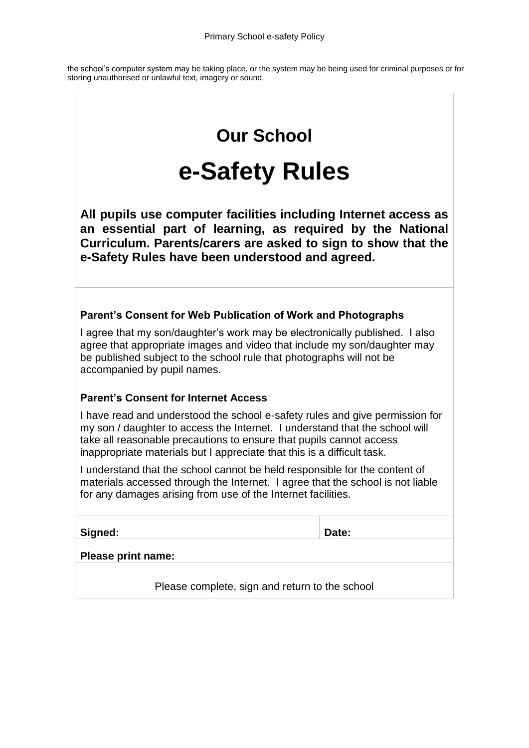the school's computer system may be taking place, or the system may be being used for criminal purposes or for storing unauthorised or unlawful text, imagery or sound.

# **Our School**

# **e-Safety Rules**

<span id="page-12-0"></span>**All pupils use computer facilities including Internet access as an essential part of learning, as required by the National Curriculum. Parents/carers are asked to sign to show that the e-Safety Rules have been understood and agreed.**

#### **Parent's Consent for Web Publication of Work and Photographs**

I agree that my son/daughter's work may be electronically published. I also agree that appropriate images and video that include my son/daughter may be published subject to the school rule that photographs will not be accompanied by pupil names.

#### **Parent's Consent for Internet Access**

I have read and understood the school e-safety rules and give permission for my son / daughter to access the Internet. I understand that the school will take all reasonable precautions to ensure that pupils cannot access inappropriate materials but I appreciate that this is a difficult task.

I understand that the school cannot be held responsible for the content of materials accessed through the Internet. I agree that the school is not liable for any damages arising from use of the Internet facilities.

| Signed: | Date: |
|---------|-------|
|         |       |

| <b>Please print name:</b> |
|---------------------------|
|---------------------------|

Please complete, sign and return to the school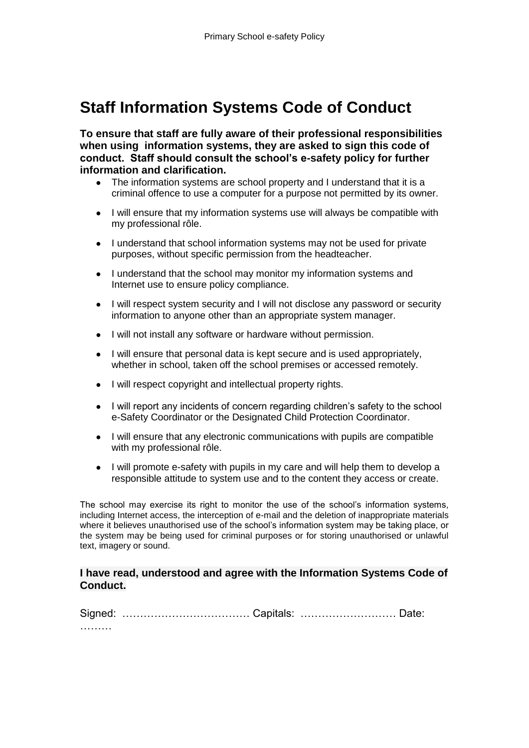## <span id="page-13-0"></span>**Staff Information Systems Code of Conduct**

**To ensure that staff are fully aware of their professional responsibilities when using information systems, they are asked to sign this code of conduct. Staff should consult the school's e-safety policy for further information and clarification.** 

- The information systems are school property and I understand that it is a criminal offence to use a computer for a purpose not permitted by its owner.
- I will ensure that my information systems use will always be compatible with my professional rôle.
- I understand that school information systems may not be used for private purposes, without specific permission from the headteacher.
- I understand that the school may monitor my information systems and Internet use to ensure policy compliance.
- I will respect system security and I will not disclose any password or security information to anyone other than an appropriate system manager.
- I will not install any software or hardware without permission.
- I will ensure that personal data is kept secure and is used appropriately, whether in school, taken off the school premises or accessed remotely.
- I will respect copyright and intellectual property rights.
- I will report any incidents of concern regarding children's safety to the school e-Safety Coordinator or the Designated Child Protection Coordinator.
- I will ensure that any electronic communications with pupils are compatible with my professional rôle.
- I will promote e-safety with pupils in my care and will help them to develop a responsible attitude to system use and to the content they access or create.

The school may exercise its right to monitor the use of the school's information systems, including Internet access, the interception of e-mail and the deletion of inappropriate materials where it believes unauthorised use of the school's information system may be taking place, or the system may be being used for criminal purposes or for storing unauthorised or unlawful text, imagery or sound.

#### **I have read, understood and agree with the Information Systems Code of Conduct.**

| . |  |  |
|---|--|--|